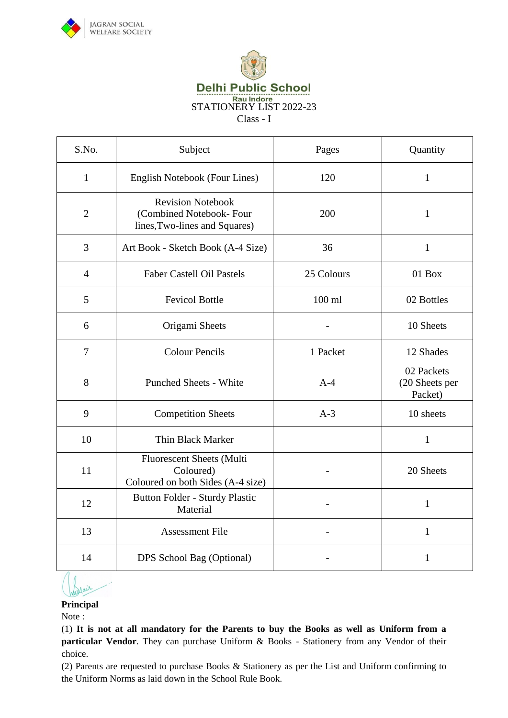



**Delhi Public School** 

Eau Indore<br>STATIONERY LIST 2022-23

Class - I

| S.No.          | Subject                                                                              | Pages      | Quantity                                |
|----------------|--------------------------------------------------------------------------------------|------------|-----------------------------------------|
| $\mathbf{1}$   | English Notebook (Four Lines)                                                        | 120        | $\mathbf{1}$                            |
| $\overline{2}$ | <b>Revision Notebook</b><br>(Combined Notebook-Four<br>lines, Two-lines and Squares) | 200        | $\mathbf{1}$                            |
| $\overline{3}$ | Art Book - Sketch Book (A-4 Size)                                                    | 36         | $\mathbf{1}$                            |
| $\overline{4}$ | <b>Faber Castell Oil Pastels</b>                                                     | 25 Colours | 01 Box                                  |
| 5              | <b>Fevicol Bottle</b>                                                                | $100$ ml   | 02 Bottles                              |
| 6              | Origami Sheets                                                                       |            | 10 Sheets                               |
| $\tau$         | <b>Colour Pencils</b>                                                                | 1 Packet   | 12 Shades                               |
| 8              | <b>Punched Sheets - White</b>                                                        | $A-4$      | 02 Packets<br>(20 Sheets per<br>Packet) |
| 9              | <b>Competition Sheets</b>                                                            | $A-3$      | 10 sheets                               |
| 10             | Thin Black Marker                                                                    |            | $\mathbf{1}$                            |
| 11             | Fluorescent Sheets (Multi<br>Coloured)<br>Coloured on both Sides (A-4 size)          |            | 20 Sheets                               |
| 12             | Button Folder - Sturdy Plastic<br>Material                                           |            | 1                                       |
| 13             | <b>Assessment File</b>                                                               |            | $\mathbf{1}$                            |
| 14             | DPS School Bag (Optional)                                                            |            | $\mathbf{1}$                            |

Sullair

**Principal**

Note :

(1) **It is not at all mandatory for the Parents to buy the Books as well as Uniform from a particular Vendor**. They can purchase Uniform & Books - Stationery from any Vendor of their choice.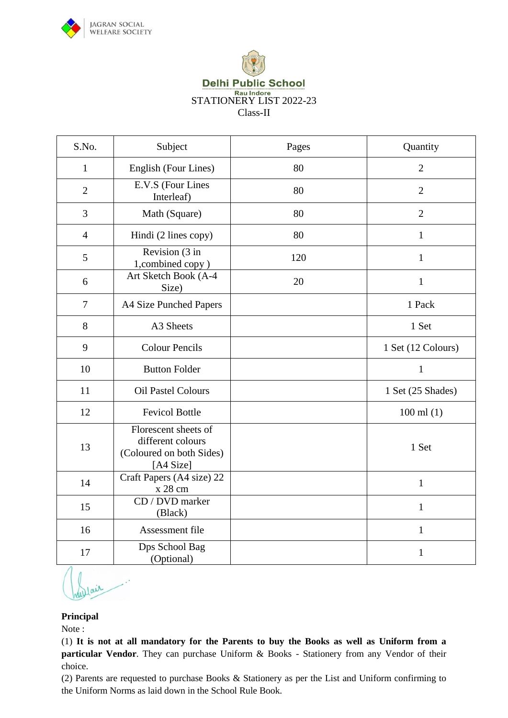



| S.No.          | Subject                                                                            | Pages | Quantity           |
|----------------|------------------------------------------------------------------------------------|-------|--------------------|
| 1              | English (Four Lines)                                                               | 80    | $\overline{2}$     |
| $\overline{2}$ | E.V.S (Four Lines<br>Interleaf)                                                    | 80    | $\overline{2}$     |
| 3              | Math (Square)                                                                      | 80    | $\overline{2}$     |
| $\overline{4}$ | Hindi (2 lines copy)                                                               | 80    | $\mathbf{1}$       |
| 5              | Revision (3 in<br>1, combined copy)                                                | 120   | $\mathbf{1}$       |
| 6              | Art Sketch Book (A-4<br>Size)                                                      | 20    | 1                  |
| $\overline{7}$ | A4 Size Punched Papers                                                             |       | 1 Pack             |
| 8              | A3 Sheets                                                                          |       | 1 Set              |
| 9              | <b>Colour Pencils</b>                                                              |       | 1 Set (12 Colours) |
| 10             | <b>Button Folder</b>                                                               |       | $\mathbf{1}$       |
| 11             | <b>Oil Pastel Colours</b>                                                          |       | 1 Set (25 Shades)  |
| 12             | <b>Fevicol Bottle</b>                                                              |       | $100$ ml $(1)$     |
| 13             | Florescent sheets of<br>different colours<br>(Coloured on both Sides)<br>[A4 Size] |       | 1 Set              |
| 14             | Craft Papers (A4 size) 22<br>x 28 cm                                               |       | $\mathbf{1}$       |
| 15             | CD / DVD marker<br>(Black)                                                         |       | $\mathbf{1}$       |
| 16             | Assessment file                                                                    |       | $\mathbf{1}$       |
| 17             | Dps School Bag<br>(Optional)                                                       |       | $\mathbf{1}$       |

#### **Principal**

Note :

(1) **It is not at all mandatory for the Parents to buy the Books as well as Uniform from a particular Vendor**. They can purchase Uniform & Books - Stationery from any Vendor of their choice.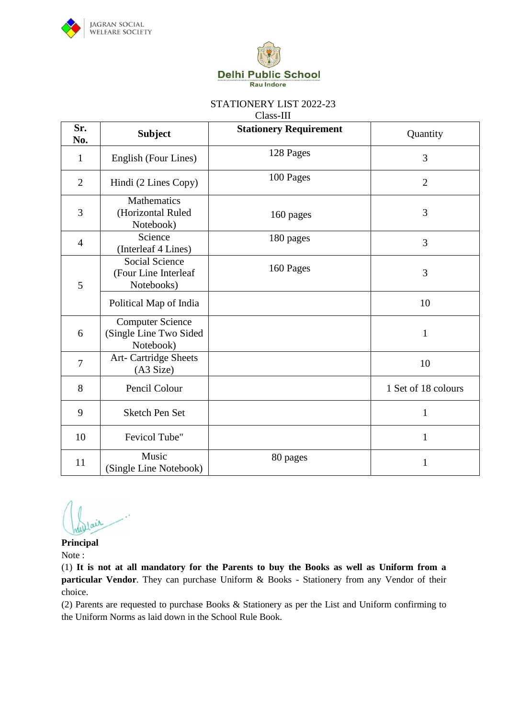



Class-III

| Sr.<br>No.     | <b>Subject</b>                                                 | <b>Stationery Requirement</b> | Quantity            |
|----------------|----------------------------------------------------------------|-------------------------------|---------------------|
| $\mathbf{1}$   | English (Four Lines)                                           | 128 Pages                     | 3                   |
| $\overline{2}$ | Hindi (2 Lines Copy)                                           | 100 Pages                     | $\overline{2}$      |
| 3              | Mathematics<br>(Horizontal Ruled<br>Notebook)                  | 160 pages                     | 3                   |
| $\overline{4}$ | Science<br>(Interleaf 4 Lines)                                 | 180 pages                     | 3                   |
| 5              | <b>Social Science</b><br>(Four Line Interleaf<br>Notebooks)    | 160 Pages                     | 3                   |
|                | Political Map of India                                         |                               | 10                  |
| 6              | <b>Computer Science</b><br>(Single Line Two Sided<br>Notebook) |                               | $\mathbf{1}$        |
| 7              | Art- Cartridge Sheets<br>(A3 Size)                             |                               | 10                  |
| 8              | Pencil Colour                                                  |                               | 1 Set of 18 colours |
| 9              | Sketch Pen Set                                                 |                               | $\mathbf{1}$        |
| 10             | Fevicol Tube"                                                  |                               | $\mathbf{1}$        |
| 11             | Music<br>(Single Line Notebook)                                | 80 pages                      | 1                   |

dair

**Principal** Note :

(1) **It is not at all mandatory for the Parents to buy the Books as well as Uniform from a particular Vendor**. They can purchase Uniform & Books - Stationery from any Vendor of their choice.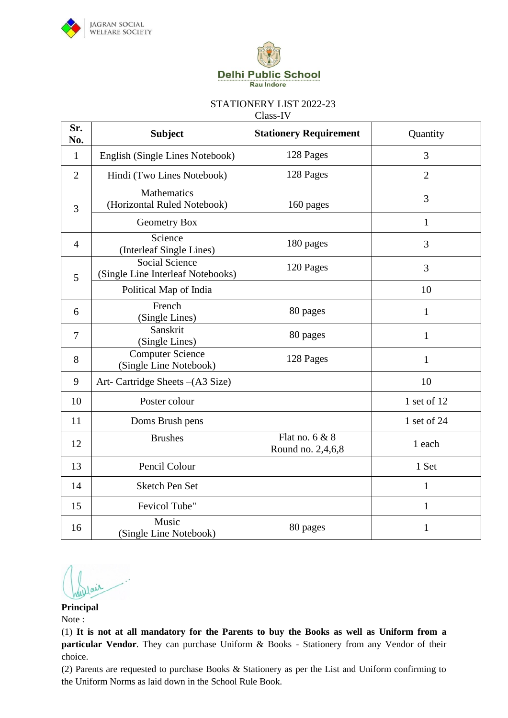



Class-IV

| Sr.<br>No.     | <b>Subject</b>                                             | <b>Stationery Requirement</b>         | Quantity       |
|----------------|------------------------------------------------------------|---------------------------------------|----------------|
| $\mathbf{1}$   | English (Single Lines Notebook)                            | 128 Pages                             | 3              |
| $\overline{2}$ | Hindi (Two Lines Notebook)                                 | 128 Pages                             | $\overline{2}$ |
| 3              | Mathematics<br>(Horizontal Ruled Notebook)                 | 160 pages                             | 3              |
|                | Geometry Box                                               |                                       | $\mathbf{1}$   |
| $\overline{4}$ | Science<br>(Interleaf Single Lines)                        | 180 pages                             | 3              |
| 5              | <b>Social Science</b><br>(Single Line Interleaf Notebooks) | 120 Pages                             | 3              |
|                | Political Map of India                                     |                                       | 10             |
| 6              | French<br>(Single Lines)                                   | 80 pages                              | $\mathbf{1}$   |
| $\overline{7}$ | Sanskrit<br>(Single Lines)                                 | 80 pages                              | $\mathbf{1}$   |
| 8              | <b>Computer Science</b><br>(Single Line Notebook)          | 128 Pages                             | $\mathbf{1}$   |
| 9              | Art- Cartridge Sheets - (A3 Size)                          |                                       | 10             |
| 10             | Poster colour                                              |                                       | 1 set of 12    |
| 11             | Doms Brush pens                                            |                                       | 1 set of 24    |
| 12             | <b>Brushes</b>                                             | Flat no. $6 & 8$<br>Round no. 2,4,6,8 | 1 each         |
| 13             | Pencil Colour                                              |                                       | 1 Set          |
| 14             | <b>Sketch Pen Set</b>                                      |                                       | 1              |
| 15             | Fevicol Tube"                                              |                                       | $\mathbf{1}$   |
| 16             | Music<br>(Single Line Notebook)                            | 80 pages                              | 1              |

**Principal**

Note :

(1) **It is not at all mandatory for the Parents to buy the Books as well as Uniform from a particular Vendor**. They can purchase Uniform & Books - Stationery from any Vendor of their choice.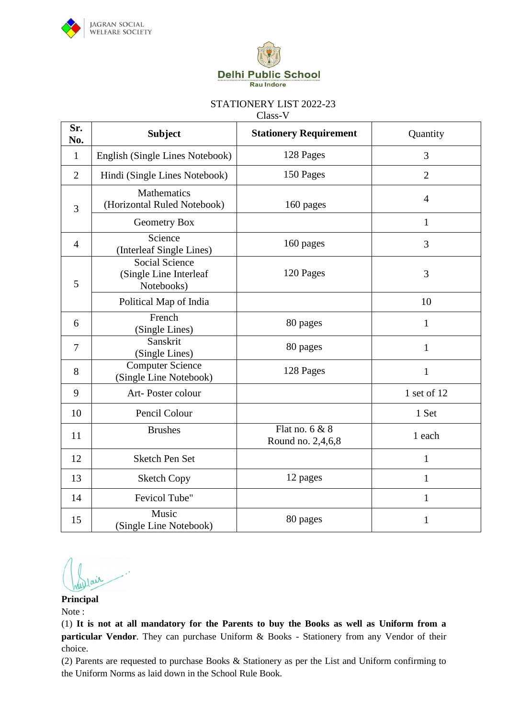



Class-V

| Sr.<br>No.     | <b>Subject</b>                                                | <b>Stationery Requirement</b>         | Quantity       |
|----------------|---------------------------------------------------------------|---------------------------------------|----------------|
| $\mathbf{1}$   | English (Single Lines Notebook)                               | 128 Pages                             | 3              |
| $\overline{2}$ | Hindi (Single Lines Notebook)                                 | 150 Pages                             | $\overline{2}$ |
| 3              | Mathematics<br>(Horizontal Ruled Notebook)                    | 160 pages                             | $\overline{4}$ |
|                | Geometry Box                                                  |                                       | $\mathbf{1}$   |
| $\overline{4}$ | Science<br>(Interleaf Single Lines)                           | 160 pages                             | 3              |
| 5              | <b>Social Science</b><br>(Single Line Interleaf<br>Notebooks) | 120 Pages                             | 3              |
|                | Political Map of India                                        |                                       | 10             |
| 6              | French<br>(Single Lines)                                      | 80 pages                              | $\mathbf{1}$   |
| $\tau$         | Sanskrit<br>(Single Lines)                                    | 80 pages                              | 1              |
| 8              | <b>Computer Science</b><br>(Single Line Notebook)             | 128 Pages                             | $\mathbf{1}$   |
| 9              | Art-Poster colour                                             |                                       | 1 set of 12    |
| 10             | Pencil Colour                                                 |                                       | 1 Set          |
| 11             | <b>Brushes</b>                                                | Flat no. $6 & 8$<br>Round no. 2,4,6,8 | 1 each         |
| 12             | <b>Sketch Pen Set</b>                                         |                                       | 1              |
| 13             | <b>Sketch Copy</b>                                            | 12 pages                              | $\mathbf{1}$   |
| 14             | Fevicol Tube"                                                 |                                       | $\mathbf{1}$   |
| 15             | Music<br>(Single Line Notebook)                               | 80 pages                              | 1              |

**Principal**

Note :

(1) **It is not at all mandatory for the Parents to buy the Books as well as Uniform from a particular Vendor**. They can purchase Uniform & Books - Stationery from any Vendor of their choice.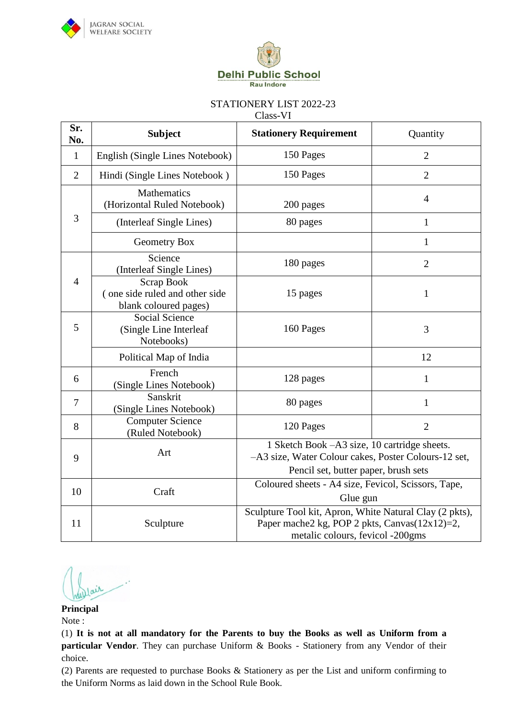



Class-VI

| Sr.<br>No.      | <b>Subject</b>                                                               | <b>Stationery Requirement</b>                                                                                                                | Quantity       |
|-----------------|------------------------------------------------------------------------------|----------------------------------------------------------------------------------------------------------------------------------------------|----------------|
| $\mathbf{1}$    | English (Single Lines Notebook)                                              | 150 Pages                                                                                                                                    | $\overline{2}$ |
| $\overline{2}$  | Hindi (Single Lines Notebook)                                                | 150 Pages                                                                                                                                    | $\overline{2}$ |
|                 | Mathematics<br>(Horizontal Ruled Notebook)                                   | 200 pages                                                                                                                                    | $\overline{4}$ |
| 3               | (Interleaf Single Lines)                                                     | 80 pages                                                                                                                                     | $\mathbf{1}$   |
|                 | <b>Geometry Box</b>                                                          |                                                                                                                                              | 1              |
|                 | Science<br>(Interleaf Single Lines)                                          | 180 pages                                                                                                                                    | $\overline{2}$ |
| $\overline{4}$  | <b>Scrap Book</b><br>(one side ruled and other side<br>blank coloured pages) | 15 pages                                                                                                                                     | $\mathbf{1}$   |
| 5               | <b>Social Science</b><br>(Single Line Interleaf<br>Notebooks)                | 160 Pages                                                                                                                                    | 3              |
|                 | Political Map of India                                                       |                                                                                                                                              | 12             |
| 6               | French<br>(Single Lines Notebook)                                            | 128 pages                                                                                                                                    | $\mathbf{1}$   |
| $7\phantom{.0}$ | Sanskrit<br>(Single Lines Notebook)                                          | 80 pages                                                                                                                                     | $\mathbf{1}$   |
| 8               | <b>Computer Science</b><br>(Ruled Notebook)                                  | 120 Pages                                                                                                                                    | $\overline{2}$ |
| 9               | Art                                                                          | 1 Sketch Book -A3 size, 10 cartridge sheets.<br>-A3 size, Water Colour cakes, Poster Colours-12 set,<br>Pencil set, butter paper, brush sets |                |
| 10              | Craft                                                                        | Coloured sheets - A4 size, Fevicol, Scissors, Tape,<br>Glue gun                                                                              |                |
| 11              | Sculpture                                                                    | Sculpture Tool kit, Apron, White Natural Clay (2 pkts),<br>Paper mache2 kg, POP 2 pkts, Canvas(12x12)=2,<br>metalic colours, fevicol -200gms |                |

**Principal** Note :

(1) **It is not at all mandatory for the Parents to buy the Books as well as Uniform from a particular Vendor**. They can purchase Uniform & Books - Stationery from any Vendor of their choice.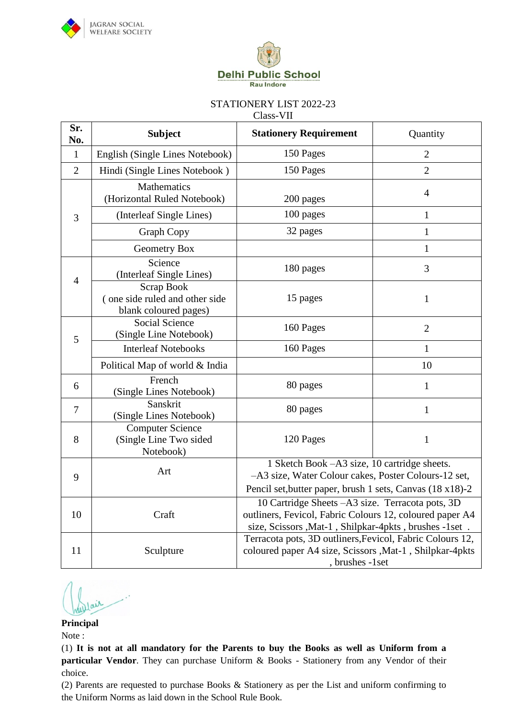



Class-VII

| Sr.<br>No.     | <b>Subject</b>                                                        | <b>Stationery Requirement</b>                                                                                                                                          | Quantity       |
|----------------|-----------------------------------------------------------------------|------------------------------------------------------------------------------------------------------------------------------------------------------------------------|----------------|
| $\mathbf{1}$   | English (Single Lines Notebook)                                       | 150 Pages                                                                                                                                                              | $\overline{2}$ |
| $\overline{2}$ | Hindi (Single Lines Notebook)                                         | 150 Pages                                                                                                                                                              | $\overline{2}$ |
|                | Mathematics<br>(Horizontal Ruled Notebook)                            | 200 pages                                                                                                                                                              | $\overline{4}$ |
| 3              | (Interleaf Single Lines)                                              | 100 pages                                                                                                                                                              | $\mathbf{1}$   |
|                | <b>Graph Copy</b>                                                     | 32 pages                                                                                                                                                               | $\mathbf{1}$   |
|                | Geometry Box                                                          |                                                                                                                                                                        | 1              |
| $\overline{4}$ | Science<br>(Interleaf Single Lines)                                   | 180 pages                                                                                                                                                              | 3              |
|                | Scrap Book<br>(one side ruled and other side<br>blank coloured pages) | 15 pages                                                                                                                                                               | $\mathbf{1}$   |
| 5              | Social Science<br>(Single Line Notebook)                              | 160 Pages                                                                                                                                                              | $\overline{2}$ |
|                | <b>Interleaf Notebooks</b>                                            | 160 Pages                                                                                                                                                              | 1              |
|                | Political Map of world & India                                        |                                                                                                                                                                        | 10             |
| 6              | French<br>(Single Lines Notebook)                                     | 80 pages                                                                                                                                                               | $\mathbf{1}$   |
| 7              | Sanskrit<br>(Single Lines Notebook)                                   | 80 pages                                                                                                                                                               | $\mathbf{1}$   |
| 8              | <b>Computer Science</b><br>(Single Line Two sided<br>Notebook)        | 120 Pages                                                                                                                                                              | $\mathbf{1}$   |
| 9              | Art                                                                   | 1 Sketch Book - A3 size, 10 cartridge sheets.<br>-A3 size, Water Colour cakes, Poster Colours-12 set,<br>Pencil set, butter paper, brush 1 sets, Canvas (18 x18)-2     |                |
| 10             | Craft                                                                 | 10 Cartridge Sheets -A3 size. Terracota pots, 3D<br>outliners, Fevicol, Fabric Colours 12, coloured paper A4<br>size, Scissors , Mat-1, Shilpkar-4pkts, brushes -1set. |                |
| 11             | Sculpture                                                             | Terracota pots, 3D outliners, Fevicol, Fabric Colours 12,<br>coloured paper A4 size, Scissors , Mat-1, Shilpkar-4pkts<br>, brushes -1set                               |                |

### **Principal**

Note :

(1) **It is not at all mandatory for the Parents to buy the Books as well as Uniform from a particular Vendor**. They can purchase Uniform & Books - Stationery from any Vendor of their choice.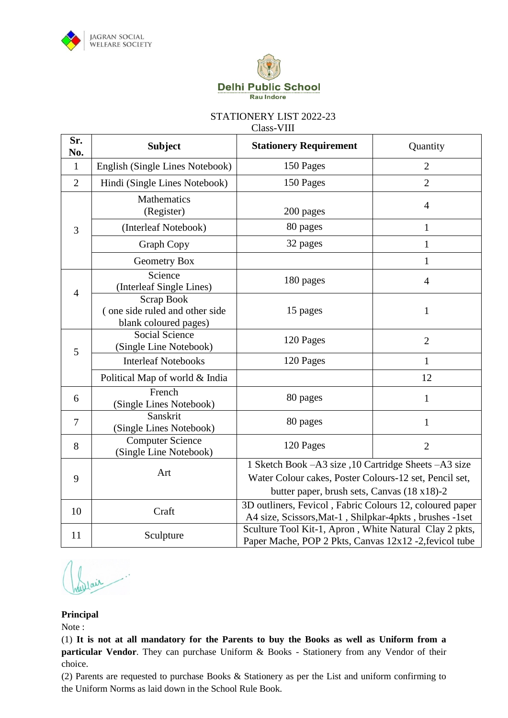



Class-VIII

| Sr.<br>No.     | <b>Subject</b>                                                        | <b>Stationery Requirement</b>                                                                                                                                    | Quantity       |
|----------------|-----------------------------------------------------------------------|------------------------------------------------------------------------------------------------------------------------------------------------------------------|----------------|
| $\mathbf{1}$   | English (Single Lines Notebook)                                       | 150 Pages                                                                                                                                                        | $\overline{2}$ |
| $\overline{2}$ | Hindi (Single Lines Notebook)                                         | 150 Pages                                                                                                                                                        | $\overline{2}$ |
|                | Mathematics<br>(Register)                                             | 200 pages                                                                                                                                                        | $\overline{4}$ |
| 3              | (Interleaf Notebook)                                                  | 80 pages                                                                                                                                                         | $\mathbf{1}$   |
|                | <b>Graph Copy</b>                                                     | 32 pages                                                                                                                                                         | $\mathbf{1}$   |
|                | Geometry Box                                                          |                                                                                                                                                                  | $\mathbf{1}$   |
| $\overline{4}$ | Science<br>(Interleaf Single Lines)                                   | 180 pages                                                                                                                                                        | $\overline{4}$ |
|                | Scrap Book<br>(one side ruled and other side<br>blank coloured pages) | 15 pages                                                                                                                                                         | 1              |
| 5              | <b>Social Science</b><br>(Single Line Notebook)                       | 120 Pages                                                                                                                                                        | $\overline{2}$ |
|                | <b>Interleaf Notebooks</b>                                            | 120 Pages                                                                                                                                                        | 1              |
|                | Political Map of world & India                                        |                                                                                                                                                                  | 12             |
| 6              | French<br>(Single Lines Notebook)                                     | 80 pages                                                                                                                                                         | 1              |
| $\tau$         | Sanskrit<br>(Single Lines Notebook)                                   | 80 pages                                                                                                                                                         | $\mathbf{1}$   |
| 8              | <b>Computer Science</b><br>(Single Line Notebook)                     | 120 Pages                                                                                                                                                        | $\overline{2}$ |
| 9              | Art                                                                   | 1 Sketch Book - A3 size , 10 Cartridge Sheets - A3 size<br>Water Colour cakes, Poster Colours-12 set, Pencil set,<br>butter paper, brush sets, Canvas (18 x18)-2 |                |
| 10             | Craft                                                                 | 3D outliners, Fevicol, Fabric Colours 12, coloured paper<br>A4 size, Scissors, Mat-1, Shilpkar-4pkts, brushes -1set                                              |                |
| 11             | Sculpture                                                             | Sculture Tool Kit-1, Apron, White Natural Clay 2 pkts,<br>Paper Mache, POP 2 Pkts, Canvas 12x12 -2, fevicol tube                                                 |                |

dair

### **Principal**

Note :

(1) **It is not at all mandatory for the Parents to buy the Books as well as Uniform from a particular Vendor**. They can purchase Uniform & Books - Stationery from any Vendor of their choice.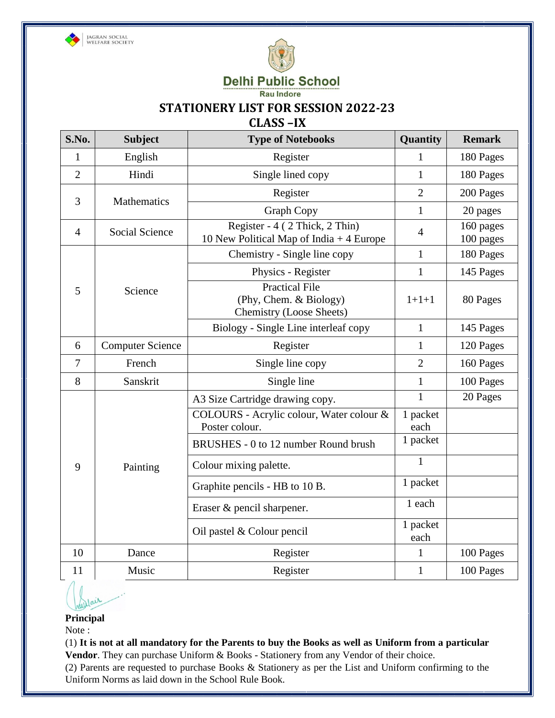



**Delhi Public School** 

Rau Indore

## **STATIONERY LIST FOR SESSION 2022-23**

# **CLASS –IX**

| S.No.          | <b>Subject</b>          | <b>Type of Notebooks</b>                                                           | Quantity         | <b>Remark</b>          |
|----------------|-------------------------|------------------------------------------------------------------------------------|------------------|------------------------|
| 1              | English                 | Register                                                                           | $\mathbf{1}$     | 180 Pages              |
| $\overline{2}$ | Hindi                   | Single lined copy                                                                  | $\mathbf{1}$     | 180 Pages              |
| 3              | Mathematics             | Register                                                                           | $\overline{2}$   | 200 Pages              |
|                |                         | <b>Graph Copy</b>                                                                  | $\mathbf{1}$     | 20 pages               |
| $\overline{4}$ | <b>Social Science</b>   | Register - 4 (2 Thick, 2 Thin)<br>10 New Political Map of India $+4$ Europe        | $\overline{4}$   | 160 pages<br>100 pages |
|                |                         | Chemistry - Single line copy                                                       | $\mathbf{1}$     | 180 Pages              |
|                |                         | Physics - Register                                                                 | $\mathbf{1}$     | 145 Pages              |
| 5              | Science                 | <b>Practical File</b><br>(Phy, Chem. & Biology)<br><b>Chemistry (Loose Sheets)</b> | $1 + 1 + 1$      | 80 Pages               |
|                |                         | Biology - Single Line interleaf copy                                               | $\mathbf{1}$     | 145 Pages              |
| 6              | <b>Computer Science</b> | Register                                                                           | $\mathbf{1}$     | 120 Pages              |
| $\overline{7}$ | French                  | Single line copy                                                                   | $\overline{2}$   | 160 Pages              |
| 8              | Sanskrit                | Single line                                                                        | $\mathbf{1}$     | 100 Pages              |
|                |                         | A3 Size Cartridge drawing copy.                                                    | $\mathbf{1}$     | 20 Pages               |
|                |                         | COLOURS - Acrylic colour, Water colour &<br>Poster colour.                         | 1 packet<br>each |                        |
|                |                         | BRUSHES - 0 to 12 number Round brush                                               | 1 packet         |                        |
| 9              | Painting                | Colour mixing palette.                                                             | $\mathbf{1}$     |                        |
|                |                         | Graphite pencils - HB to 10 B.                                                     | 1 packet         |                        |
|                |                         | Eraser & pencil sharpener.                                                         | 1 each           |                        |
|                |                         | Oil pastel & Colour pencil                                                         | 1 packet<br>each |                        |
| 10             | Dance                   | Register                                                                           | $\mathbf{1}$     | 100 Pages              |
| 11             | Music                   | Register                                                                           | $\mathbf{1}$     | 100 Pages              |

## **Principal**

Note :

(1) **It is not at all mandatory for the Parents to buy the Books as well as Uniform from a particular Vendor**. They can purchase Uniform & Books - Stationery from any Vendor of their choice.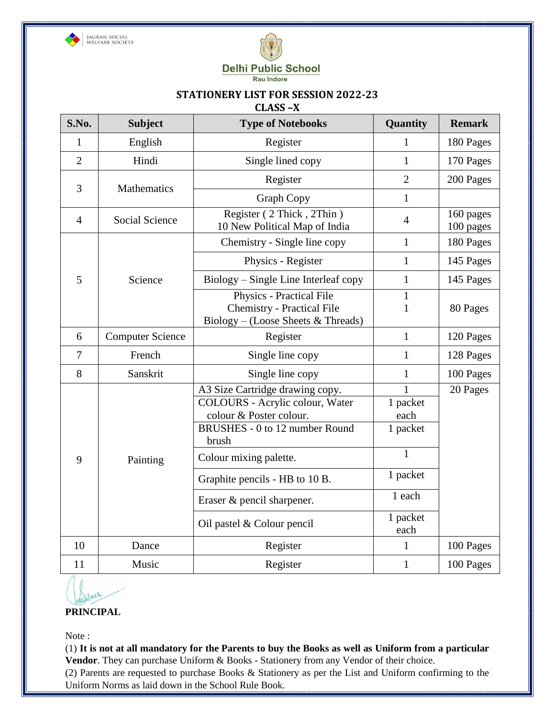



#### **STATIONERY LIST FOR SESSION 2022-23 CLASS –X**

| S.No.          | <b>Subject</b>          | <b>Type of Notebooks</b>                                                                                                                                           | Quantity                                                     | <b>Remark</b>          |
|----------------|-------------------------|--------------------------------------------------------------------------------------------------------------------------------------------------------------------|--------------------------------------------------------------|------------------------|
| $\mathbf{1}$   | English                 | Register                                                                                                                                                           | 1                                                            | 180 Pages              |
| $\overline{2}$ | Hindi                   | Single lined copy                                                                                                                                                  | $\mathbf{1}$                                                 | 170 Pages              |
|                |                         | Register                                                                                                                                                           | $\overline{2}$                                               | 200 Pages              |
| 3              | Mathematics             | Graph Copy                                                                                                                                                         | $\mathbf{1}$                                                 |                        |
| $\overline{4}$ | Social Science          | Register (2 Thick, 2Thin)<br>10 New Political Map of India                                                                                                         | $\overline{4}$                                               | 160 pages<br>100 pages |
|                |                         | Chemistry - Single line copy                                                                                                                                       | $\mathbf{1}$                                                 | 180 Pages              |
|                |                         | Physics - Register                                                                                                                                                 | $\mathbf{1}$                                                 | 145 Pages              |
| 5              | Science                 | Biology – Single Line Interleaf copy                                                                                                                               | $\mathbf{1}$                                                 | 145 Pages              |
|                |                         | Physics - Practical File<br><b>Chemistry - Practical File</b><br>Biology - (Loose Sheets & Threads)                                                                | $\mathbf{1}$<br>$\mathbf{1}$                                 | 80 Pages               |
| 6              | <b>Computer Science</b> | Register                                                                                                                                                           | $\mathbf{1}$                                                 | 120 Pages              |
| $\overline{7}$ | French                  | Single line copy                                                                                                                                                   | $\mathbf{1}$                                                 | 128 Pages              |
| 8              | Sanskrit                | Single line copy                                                                                                                                                   | $\mathbf{1}$                                                 | 100 Pages              |
| 9              | Painting                | A3 Size Cartridge drawing copy.<br>COLOURS - Acrylic colour, Water<br>colour & Poster colour.<br>BRUSHES - 0 to 12 number Round<br>brush<br>Colour mixing palette. | $\mathbf{1}$<br>1 packet<br>each<br>1 packet<br>$\mathbf{1}$ | 20 Pages               |
|                |                         | Graphite pencils - HB to 10 B.                                                                                                                                     | 1 packet                                                     |                        |
|                |                         | Eraser & pencil sharpener.                                                                                                                                         | 1 each                                                       |                        |
|                |                         | Oil pastel & Colour pencil                                                                                                                                         | 1 packet<br>each                                             |                        |
| 10             | Dance                   | Register                                                                                                                                                           | $\mathbf{1}$                                                 | 100 Pages              |
| 11             | Music                   | Register                                                                                                                                                           | $\mathbf{1}$                                                 | 100 Pages              |

**PRINCIPAL**

Note :

(1) **It is not at all mandatory for the Parents to buy the Books as well as Uniform from a particular Vendor**. They can purchase Uniform & Books - Stationery from any Vendor of their choice.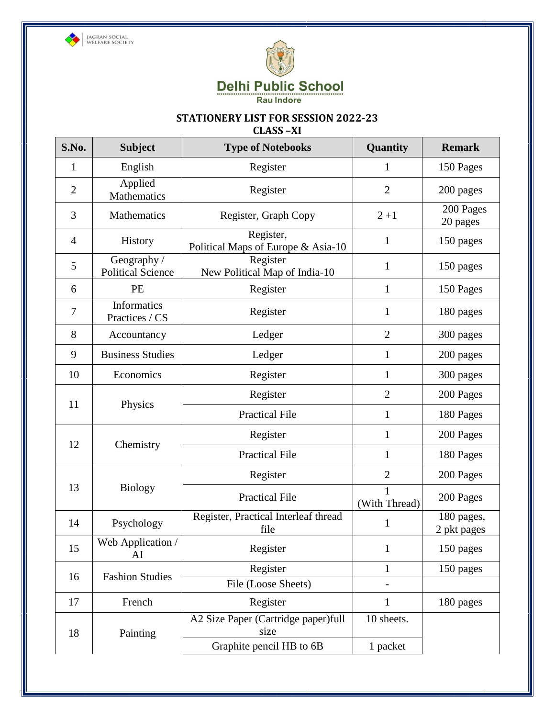



# **STATIONERY LIST FOR SESSION 2022-23**

**CLASS –XI**

| S.No.          | <b>Subject</b>                          | <b>Type of Notebooks</b>                        | Quantity       | <b>Remark</b>             |
|----------------|-----------------------------------------|-------------------------------------------------|----------------|---------------------------|
| 1              | English                                 | Register                                        | 1              | 150 Pages                 |
| $\overline{2}$ | Applied<br>Mathematics                  | Register                                        | $\overline{2}$ | 200 pages                 |
| 3              | Mathematics                             | Register, Graph Copy                            | $2 + 1$        | 200 Pages<br>20 pages     |
| $\overline{4}$ | History                                 | Register,<br>Political Maps of Europe & Asia-10 | 1              | 150 pages                 |
| 5              | Geography /<br><b>Political Science</b> | Register<br>New Political Map of India-10       | $\mathbf{1}$   | 150 pages                 |
| 6              | PE                                      | Register                                        | $\mathbf{1}$   | 150 Pages                 |
| $\overline{7}$ | <b>Informatics</b><br>Practices / CS    | Register                                        | $\mathbf{1}$   | 180 pages                 |
| 8              | Accountancy                             | Ledger                                          | $\overline{2}$ | 300 pages                 |
| 9              | <b>Business Studies</b>                 | Ledger                                          | $\mathbf{1}$   | 200 pages                 |
| 10             | Economics                               | Register                                        | $\mathbf{1}$   | 300 pages                 |
|                |                                         | Register                                        | $\overline{2}$ | 200 Pages                 |
| 11             | Physics                                 | <b>Practical File</b>                           | $\mathbf{1}$   | 180 Pages                 |
|                |                                         | Register                                        | $\mathbf{1}$   | 200 Pages                 |
| 12             | Chemistry                               | <b>Practical File</b>                           | $\mathbf{1}$   | 180 Pages                 |
|                |                                         | Register                                        | $\overline{2}$ | 200 Pages                 |
| 13             | <b>Biology</b>                          | <b>Practical File</b>                           | (With Thread)  | 200 Pages                 |
| 14             | Psychology                              | Register, Practical Interleaf thread<br>file    | 1              | 180 pages,<br>2 pkt pages |
| 15             | Web Application /<br>AI                 | Register                                        | $\mathbf{1}$   | 150 pages                 |
| 16             | <b>Fashion Studies</b>                  | Register                                        | $\mathbf{1}$   | 150 pages                 |
|                |                                         | File (Loose Sheets)                             |                |                           |
| 17             | French                                  | Register                                        | $\mathbf{1}$   | 180 pages                 |
| 18             | Painting                                | A2 Size Paper (Cartridge paper)full<br>size     | 10 sheets.     |                           |
|                |                                         | Graphite pencil HB to 6B                        | 1 packet       |                           |